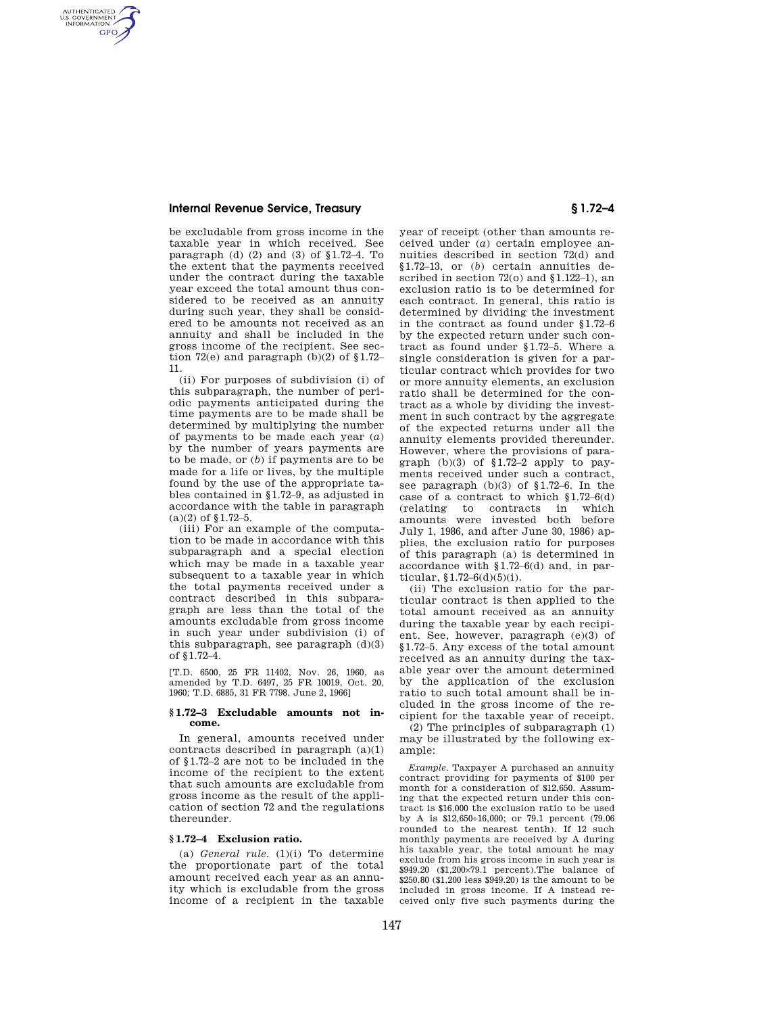# **Internal Revenue Service, Treasury § 1.72–4**

AUTHENTICATED<br>U.S. GOVERNMENT<br>INFORMATION **GPO** 

> be excludable from gross income in the taxable year in which received. See paragraph (d)  $(2)$  and  $(3)$  of §1.72–4. To the extent that the payments received under the contract during the taxable year exceed the total amount thus considered to be received as an annuity during such year, they shall be considered to be amounts not received as an annuity and shall be included in the gross income of the recipient. See section  $72(e)$  and paragraph (b)(2) of §1.72-11.

> (ii) For purposes of subdivision (i) of this subparagraph, the number of periodic payments anticipated during the time payments are to be made shall be determined by multiplying the number of payments to be made each year (*a*) by the number of years payments are to be made, or (*b*) if payments are to be made for a life or lives, by the multiple found by the use of the appropriate tables contained in §1.72–9, as adjusted in accordance with the table in paragraph  $(a)(2)$  of  $$1.72-5$ .

> (iii) For an example of the computation to be made in accordance with this subparagraph and a special election which may be made in a taxable year subsequent to a taxable year in which the total payments received under a contract described in this subparagraph are less than the total of the amounts excludable from gross income in such year under subdivision (i) of this subparagraph, see paragraph  $(d)(3)$ of §1.72–4.

> [T.D. 6500, 25 FR 11402, Nov. 26, 1960, as amended by T.D. 6497, 25 FR 10019, Oct. 20, 1960; T.D. 6885, 31 FR 7798, June 2, 1966]

#### **§ 1.72–3 Excludable amounts not income.**

In general, amounts received under contracts described in paragraph (a)(1) of §1.72–2 are not to be included in the income of the recipient to the extent that such amounts are excludable from gross income as the result of the application of section 72 and the regulations thereunder.

## **§ 1.72–4 Exclusion ratio.**

(a) *General rule.* (1)(i) To determine the proportionate part of the total amount received each year as an annuity which is excludable from the gross income of a recipient in the taxable year of receipt (other than amounts received under (*a*) certain employee annuities described in section 72(d) and §1.72–13, or (*b*) certain annuities described in section 72(o) and §1.122–1), an exclusion ratio is to be determined for each contract. In general, this ratio is determined by dividing the investment in the contract as found under §1.72–6 by the expected return under such contract as found under §1.72–5. Where a single consideration is given for a particular contract which provides for two or more annuity elements, an exclusion ratio shall be determined for the contract as a whole by dividing the investment in such contract by the aggregate of the expected returns under all the annuity elements provided thereunder. However, where the provisions of paragraph  $(b)(3)$  of §1.72–2 apply to payments received under such a contract, see paragraph (b)(3) of §1.72–6. In the case of a contract to which §1.72–6(d) (relating to contracts in which amounts were invested both before July 1, 1986, and after June 30, 1986) applies, the exclusion ratio for purposes of this paragraph (a) is determined in accordance with §1.72–6(d) and, in particular,  $$1.72-6(d)(5)(i)$ .

(ii) The exclusion ratio for the particular contract is then applied to the total amount received as an annuity during the taxable year by each recipient. See, however, paragraph (e)(3) of §1.72–5. Any excess of the total amount received as an annuity during the taxable year over the amount determined by the application of the exclusion ratio to such total amount shall be included in the gross income of the recipient for the taxable year of receipt.

(2) The principles of subparagraph (1) may be illustrated by the following example:

*Example.* Taxpayer A purchased an annuity contract providing for payments of \$100 per month for a consideration of \$12,650. Assuming that the expected return under this contract is \$16,000 the exclusion ratio to be used by A is \$12,650÷16,000; or 79.1 percent (79.06 rounded to the nearest tenth). If 12 such monthly payments are received by A during his taxable year, the total amount he may exclude from his gross income in such year is \$949.20 (\$1,200×79.1 percent).The balance of \$250.80 (\$1,200 less \$949.20) is the amount to be included in gross income. If A instead received only five such payments during the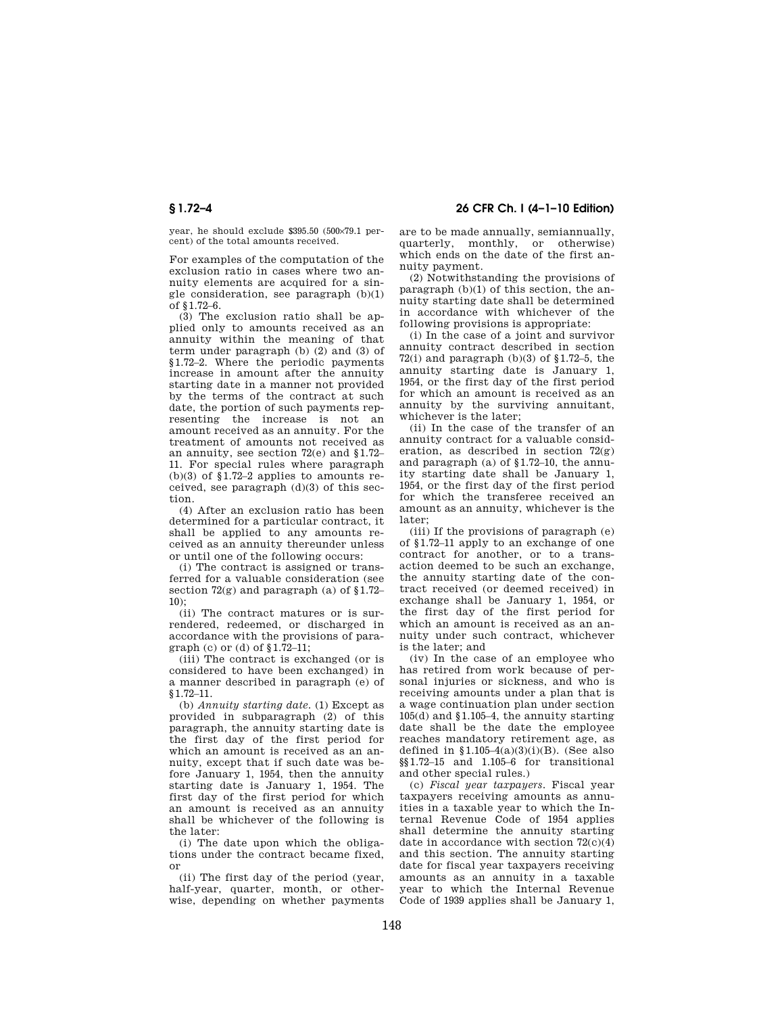year, he should exclude \$395.50 (500×79.1 percent) of the total amounts received.

For examples of the computation of the exclusion ratio in cases where two annuity elements are acquired for a single consideration, see paragraph (b)(1) of §1.72–6.

(3) The exclusion ratio shall be applied only to amounts received as an annuity within the meaning of that term under paragraph (b) (2) and (3) of §1.72–2. Where the periodic payments increase in amount after the annuity starting date in a manner not provided by the terms of the contract at such date, the portion of such payments representing the increase is not an amount received as an annuity. For the treatment of amounts not received as an annuity, see section 72(e) and §1.72– 11. For special rules where paragraph (b)(3) of  $$1.72-2$  applies to amounts received, see paragraph  $(d)(3)$  of this section.

(4) After an exclusion ratio has been determined for a particular contract, it shall be applied to any amounts received as an annuity thereunder unless or until one of the following occurs:

(i) The contract is assigned or transferred for a valuable consideration (see section 72(g) and paragraph (a) of §1.72– 10);

(ii) The contract matures or is surrendered, redeemed, or discharged in accordance with the provisions of paragraph (c) or (d) of §1.72–11;

(iii) The contract is exchanged (or is considered to have been exchanged) in a manner described in paragraph (e) of §1.72–11.

(b) *Annuity starting date.* (1) Except as provided in subparagraph (2) of this paragraph, the annuity starting date is the first day of the first period for which an amount is received as an annuity, except that if such date was before January 1, 1954, then the annuity starting date is January 1, 1954. The first day of the first period for which an amount is received as an annuity shall be whichever of the following is the later:

(i) The date upon which the obligations under the contract became fixed, or

(ii) The first day of the period (year, half-year, quarter, month, or otherwise, depending on whether payments

**§ 1.72–4 26 CFR Ch. I (4–1–10 Edition)** 

are to be made annually, semiannually, quarterly, monthly, or otherwise) which ends on the date of the first annuity payment.

(2) Notwithstanding the provisions of paragraph (b)(1) of this section, the annuity starting date shall be determined in accordance with whichever of the following provisions is appropriate:

(i) In the case of a joint and survivor annuity contract described in section 72(i) and paragraph (b)(3) of  $$1.72-5$ , the annuity starting date is January 1, 1954, or the first day of the first period for which an amount is received as an annuity by the surviving annuitant, whichever is the later;

(ii) In the case of the transfer of an annuity contract for a valuable consideration, as described in section  $72(e)$ and paragraph (a) of §1.72–10, the annuity starting date shall be January 1, 1954, or the first day of the first period for which the transferee received an amount as an annuity, whichever is the later;

(iii) If the provisions of paragraph (e) of §1.72–11 apply to an exchange of one contract for another, or to a transaction deemed to be such an exchange, the annuity starting date of the contract received (or deemed received) in exchange shall be January 1, 1954, or the first day of the first period for which an amount is received as an annuity under such contract, whichever is the later; and

(iv) In the case of an employee who has retired from work because of personal injuries or sickness, and who is receiving amounts under a plan that is a wage continuation plan under section 105(d) and §1.105–4, the annuity starting date shall be the date the employee reaches mandatory retirement age, as defined in  $\{1.105-4(a)(3)(i)(B)\}$ . (See also §§1.72–15 and 1.105–6 for transitional and other special rules.)

(c) *Fiscal year taxpayers.* Fiscal year taxpayers receiving amounts as annuities in a taxable year to which the Internal Revenue Code of 1954 applies shall determine the annuity starting date in accordance with section  $72(c)(4)$ and this section. The annuity starting date for fiscal year taxpayers receiving amounts as an annuity in a taxable year to which the Internal Revenue Code of 1939 applies shall be January 1,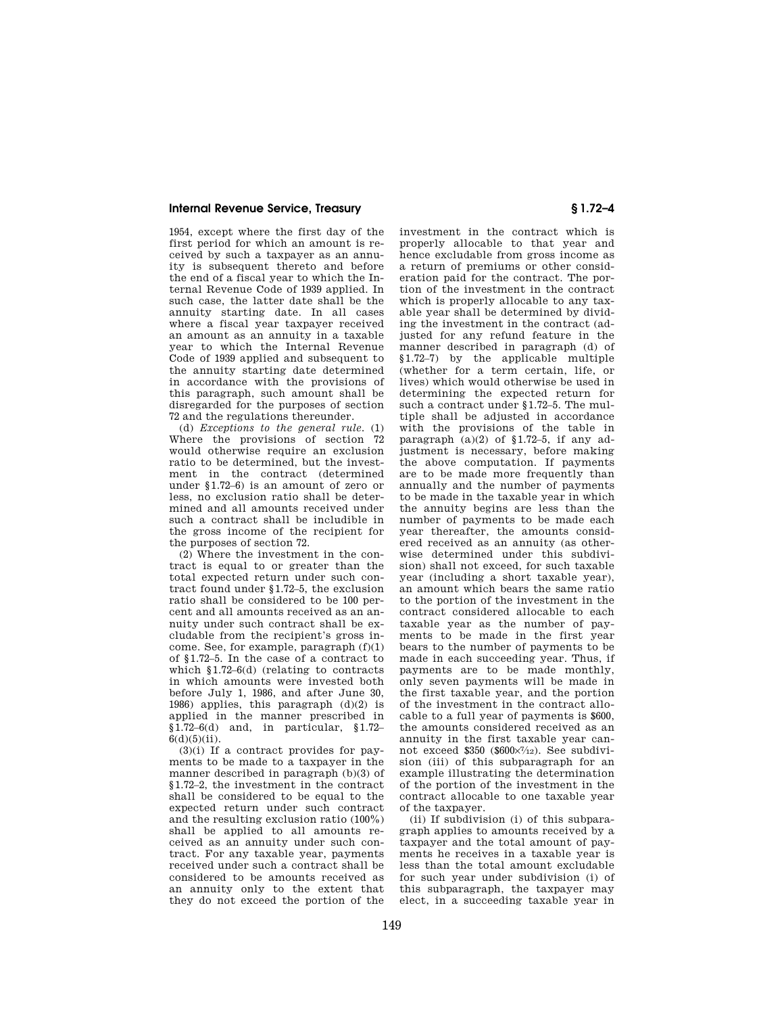## **Internal Revenue Service, Treasury § 1.72–4**

1954, except where the first day of the first period for which an amount is received by such a taxpayer as an annuity is subsequent thereto and before the end of a fiscal year to which the Internal Revenue Code of 1939 applied. In such case, the latter date shall be the annuity starting date. In all cases where a fiscal year taxpayer received an amount as an annuity in a taxable year to which the Internal Revenue Code of 1939 applied and subsequent to the annuity starting date determined in accordance with the provisions of this paragraph, such amount shall be disregarded for the purposes of section 72 and the regulations thereunder.

(d) *Exceptions to the general rule.* (1) Where the provisions of section 72 would otherwise require an exclusion ratio to be determined, but the investment in the contract (determined under §1.72–6) is an amount of zero or less, no exclusion ratio shall be determined and all amounts received under such a contract shall be includible in the gross income of the recipient for the purposes of section 72.

(2) Where the investment in the contract is equal to or greater than the total expected return under such contract found under §1.72–5, the exclusion ratio shall be considered to be 100 percent and all amounts received as an annuity under such contract shall be excludable from the recipient's gross income. See, for example, paragraph (f)(1) of §1.72–5. In the case of a contract to which §1.72–6(d) (relating to contracts in which amounts were invested both before July 1, 1986, and after June 30, 1986) applies, this paragraph (d)(2) is applied in the manner prescribed in  $\overline{$1.72$}$ –6(d) and, in particular,  $\overline{$1.72$}$ –  $6(d)(5)(ii)$ .

(3)(i) If a contract provides for payments to be made to a taxpayer in the manner described in paragraph (b)(3) of §1.72–2, the investment in the contract shall be considered to be equal to the expected return under such contract and the resulting exclusion ratio (100%) shall be applied to all amounts received as an annuity under such contract. For any taxable year, payments received under such a contract shall be considered to be amounts received as an annuity only to the extent that they do not exceed the portion of the

investment in the contract which is properly allocable to that year and hence excludable from gross income as a return of premiums or other consideration paid for the contract. The portion of the investment in the contract which is properly allocable to any taxable year shall be determined by dividing the investment in the contract (adjusted for any refund feature in the manner described in paragraph (d) of §1.72–7) by the applicable multiple (whether for a term certain, life, or lives) which would otherwise be used in determining the expected return for such a contract under §1.72–5. The multiple shall be adjusted in accordance with the provisions of the table in paragraph  $(a)(2)$  of §1.72–5, if any adjustment is necessary, before making the above computation. If payments are to be made more frequently than annually and the number of payments to be made in the taxable year in which the annuity begins are less than the number of payments to be made each year thereafter, the amounts considered received as an annuity (as otherwise determined under this subdivision) shall not exceed, for such taxable year (including a short taxable year), an amount which bears the same ratio to the portion of the investment in the contract considered allocable to each taxable year as the number of payments to be made in the first year bears to the number of payments to be made in each succeeding year. Thus, if payments are to be made monthly, only seven payments will be made in the first taxable year, and the portion of the investment in the contract allocable to a full year of payments is \$600, the amounts considered received as an annuity in the first taxable year cannot exceed  $$350$  ( $$600\times7/12$ ). See subdivision (iii) of this subparagraph for an example illustrating the determination of the portion of the investment in the contract allocable to one taxable year of the taxpayer.

(ii) If subdivision (i) of this subparagraph applies to amounts received by a taxpayer and the total amount of payments he receives in a taxable year is less than the total amount excludable for such year under subdivision (i) of this subparagraph, the taxpayer may elect, in a succeeding taxable year in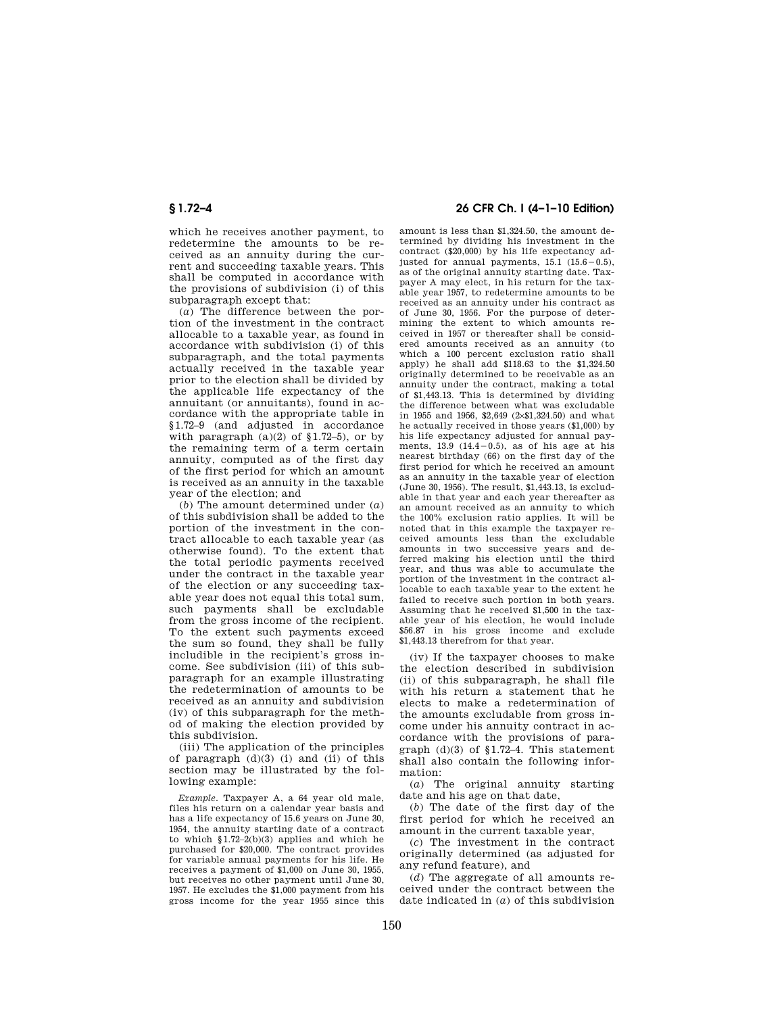which he receives another payment, to redetermine the amounts to be received as an annuity during the current and succeeding taxable years. This shall be computed in accordance with the provisions of subdivision (i) of this subparagraph except that:

(*a*) The difference between the portion of the investment in the contract allocable to a taxable year, as found in accordance with subdivision (i) of this subparagraph, and the total payments actually received in the taxable year prior to the election shall be divided by the applicable life expectancy of the annuitant (or annuitants), found in accordance with the appropriate table in §1.72–9 (and adjusted in accordance with paragraph  $(a)(2)$  of §1.72–5), or by the remaining term of a term certain annuity, computed as of the first day of the first period for which an amount is received as an annuity in the taxable year of the election; and

(*b*) The amount determined under (*a*) of this subdivision shall be added to the portion of the investment in the contract allocable to each taxable year (as otherwise found). To the extent that the total periodic payments received under the contract in the taxable year of the election or any succeeding taxable year does not equal this total sum, such payments shall be excludable from the gross income of the recipient. To the extent such payments exceed the sum so found, they shall be fully includible in the recipient's gross income. See subdivision (iii) of this subparagraph for an example illustrating the redetermination of amounts to be received as an annuity and subdivision (iv) of this subparagraph for the method of making the election provided by this subdivision.

(iii) The application of the principles of paragraph (d)(3) (i) and (ii) of this section may be illustrated by the following example:

*Example.* Taxpayer A, a 64 year old male, files his return on a calendar year basis and has a life expectancy of 15.6 years on June 30, 1954, the annuity starting date of a contract to which §1.72–2(b)(3) applies and which he purchased for \$20,000. The contract provides for variable annual payments for his life. He receives a payment of \$1,000 on June 30, 1955, but receives no other payment until June 30, 1957. He excludes the \$1,000 payment from his gross income for the year 1955 since this

# **§ 1.72–4 26 CFR Ch. I (4–1–10 Edition)**

amount is less than \$1,324.50, the amount determined by dividing his investment in the contract (\$20,000) by his life expectancy adjusted for annual payments,  $15.1$   $(15.6-0.5)$ , as of the original annuity starting date. Taxpayer A may elect, in his return for the taxable year 1957, to redetermine amounts to be received as an annuity under his contract as of June 30, 1956. For the purpose of determining the extent to which amounts received in 1957 or thereafter shall be considered amounts received as an annuity (to which a 100 percent exclusion ratio shall apply) he shall add \$118.63 to the \$1,324.50 originally determined to be receivable as an annuity under the contract, making a total of \$1,443.13. This is determined by dividing the difference between what was excludable in 1955 and 1956, \$2,649 (2×\$1,324.50) and what he actually received in those years (\$1,000) by his life expectancy adjusted for annual payments,  $13.9$   $(14.4-0.5)$ , as of his age at his nearest birthday (66) on the first day of the first period for which he received an amount as an annuity in the taxable year of election (June 30, 1956). The result, \$1,443.13, is excludable in that year and each year thereafter as an amount received as an annuity to which the 100% exclusion ratio applies. It will be noted that in this example the taxpayer received amounts less than the excludable amounts in two successive years and deferred making his election until the third year, and thus was able to accumulate the portion of the investment in the contract allocable to each taxable year to the extent he failed to receive such portion in both years. Assuming that he received \$1,500 in the taxable year of his election, he would include \$56.87 in his gross income and exclude \$1,443.13 therefrom for that year.

(iv) If the taxpayer chooses to make the election described in subdivision (ii) of this subparagraph, he shall file with his return a statement that he elects to make a redetermination of the amounts excludable from gross income under his annuity contract in accordance with the provisions of paragraph (d)(3) of §1.72–4. This statement shall also contain the following information:

(*a*) The original annuity starting date and his age on that date,

(*b*) The date of the first day of the first period for which he received an amount in the current taxable year,

(*c*) The investment in the contract originally determined (as adjusted for any refund feature), and

(*d*) The aggregate of all amounts received under the contract between the date indicated in (*a*) of this subdivision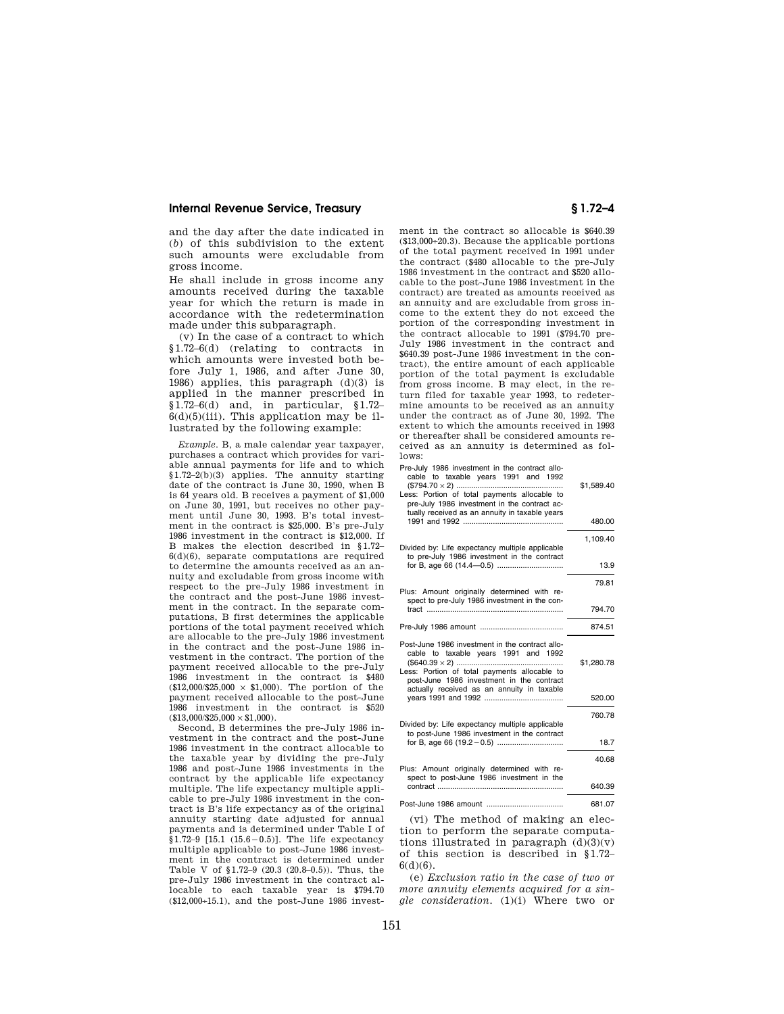## **Internal Revenue Service, Treasury § 1.72–4**

and the day after the date indicated in (*b*) of this subdivision to the extent such amounts were excludable from gross income.

He shall include in gross income any amounts received during the taxable year for which the return is made in accordance with the redetermination made under this subparagraph.

(v) In the case of a contract to which §1.72–6(d) (relating to contracts in which amounts were invested both before July 1, 1986, and after June 30, 1986) applies, this paragraph (d)(3) is applied in the manner prescribed in  $§1.72–6(d)$  and, in particular,  $§1.72–6(d)$  $6(d)(5)(iii)$ . This application may be illustrated by the following example:

*Example.* B, a male calendar year taxpayer, purchases a contract which provides for variable annual payments for life and to which §1.72–2(b)(3) applies. The annuity starting date of the contract is June 30, 1990, when B is 64 years old. B receives a payment of \$1,000 on June 30, 1991, but receives no other payment until June 30, 1993. B's total investment in the contract is \$25,000. B's pre-July 1986 investment in the contract is \$12,000. If B makes the election described in §1.72–  $6(d)(6)$ , separate computations are required to determine the amounts received as an annuity and excludable from gross income with respect to the pre-July 1986 investment in the contract and the post-June 1986 investment in the contract. In the separate computations, B first determines the applicable portions of the total payment received which are allocable to the pre-July 1986 investment in the contract and the post-June 1986 investment in the contract. The portion of the payment received allocable to the pre-July 1986 investment in the contract is \$480  $(12.000/25.000 \times 1,000)$ . The portion of the payment received allocable to the post-June 1986 investment in the contract is \$520  $$13,000/\$25,000 \times \$1,000$ .

Second, B determines the pre-July 1986 investment in the contract and the post-June 1986 investment in the contract allocable to the taxable year by dividing the pre-July 1986 and post-June 1986 investments in the contract by the applicable life expectancy multiple. The life expectancy multiple applicable to pre-July 1986 investment in the contract is B's life expectancy as of the original annuity starting date adjusted for annual payments and is determined under Table I of  $$1.72-9$  [15.1  $(15.6-0.5)$ ]. The life expectancy multiple applicable to post-June 1986 investment in the contract is determined under Table V of §1.72–9 (20.3 (20.8–0.5)). Thus, the pre-July 1986 investment in the contract allocable to each taxable year is \$794.70 (\$12,000÷15.1), and the post-June 1986 investment in the contract so allocable is \$640.39 (\$13,000÷20.3). Because the applicable portions of the total payment received in 1991 under the contract (\$480 allocable to the pre-July 1986 investment in the contract and \$520 allocable to the post-June 1986 investment in the contract) are treated as amounts received as an annuity and are excludable from gross income to the extent they do not exceed the portion of the corresponding investment in the contract allocable to 1991 (\$794.70 pre-July 1986 investment in the contract and \$640.39 post-June 1986 investment in the contract), the entire amount of each applicable portion of the total payment is excludable from gross income. B may elect, in the return filed for taxable year 1993, to redetermine amounts to be received as an annuity under the contract as of June 30, 1992. The extent to which the amounts received in 1993 or thereafter shall be considered amounts received as an annuity is determined as follows:

Pre-July 1986 investment in the contract allocable to taxable years 1991 and 1992 (\$794.70 × 2) .................................................. \$1,589.40

| Less: Portion of total payments allocable to<br>pre-July 1986 investment in the contract ac-<br>tually received as an annuity in taxable years                                       |            |
|--------------------------------------------------------------------------------------------------------------------------------------------------------------------------------------|------------|
|                                                                                                                                                                                      | 480.00     |
| Divided by: Life expectancy multiple applicable<br>to pre-July 1986 investment in the contract                                                                                       | 1,109.40   |
|                                                                                                                                                                                      | 13.9       |
| Plus: Amount originally determined with re-<br>spect to pre-July 1986 investment in the con-                                                                                         | 79.81      |
|                                                                                                                                                                                      | 794.70     |
|                                                                                                                                                                                      | 874.51     |
| Post-June 1986 investment in the contract allo-<br>cable to taxable years 1991 and 1992<br>Less: Portion of total payments allocable to<br>post-June 1986 investment in the contract | \$1,280.78 |
| actually received as an annuity in taxable                                                                                                                                           | 520.00     |
| Divided by: Life expectancy multiple applicable                                                                                                                                      | 760.78     |
| to post-June 1986 investment in the contract                                                                                                                                         | 18.7       |
| Plus: Amount originally determined with re-                                                                                                                                          | 40.68      |
| spect to post-June 1986 investment in the                                                                                                                                            | 640.39     |
|                                                                                                                                                                                      | 681.07     |

(vi) The method of making an election to perform the separate computations illustrated in paragraph  $(d)(3)(v)$ of this section is described in §1.72–  $6(d)(6)$ .

(e) *Exclusion ratio in the case of two or more annuity elements acquired for a single consideration.* (1)(i) Where two or